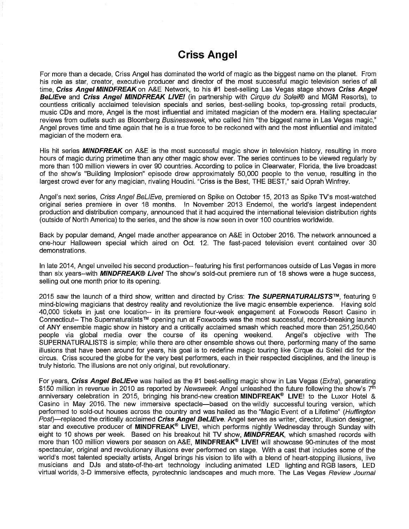# **Criss Angel**

For more than a decade, Criss Angel has dominated the world of magic as the biggest name on the planet. From his role as star, creator, executive producer and director of the most successful magic television series of all time, *Criss Angel MINDFREAK* on A&E Network, to his #1 best-selling Las Vegas stage shows *Criss Angel BeLIEve* and *Criss Angel MINDFREAK LIVE!* (in partnership with *Cirque du Soleil®* and MGM Resorts), to countless critically acclaimed television specials and series, best-selling books, top-grossing retail products, music CDs and more, Angel is the most influential and imitated magician of the modern era. Hailing spectacular reviews from outlets such as Bloomberg *Businessweek,* who called him "the biggest name in Las Vegas magic," Angel proves time and time again that he is a true force to be reckoned with and the most influential and imitated magician of the modern era.

His hit series *MINDFREAK* on A&E is the most successful magic show in television history, resulting in more hours of magic during primetime than any other magic show ever. The series continues to be viewed regularly by more than 100 million viewers in over 90 countries. According to police in Clearwater, Florida, the live broadcast of the show's "Building Implosion" episode drew approximately 50,000 people to the venue, resulting in the largest crowd ever for any magician, rivaling Houdini. "Criss is the Best, THE BEST," said Oprah Winfrey.

Angel's next series, *Criss Angel BeLIEve,* premiered on Spike on October 15, 2013 as Spike TV's most-watched original series premiere in over 18 months. In November 2013 Endemol, the world's largest independent production and distribution company, announced that it had acquired the international television distribution rights (outside of North America) to the series, and the show is now seen in over 100 countries worldwide.

Back by popular demand, Angel made another appearance on A&E in October 2016. The network announced a one-hour Halloween special which aired on Oct. 12. The fast-paced television event contained over 30 demonstrations.

In late 2014, Angel unveiled his second production- featuring his first performances outside of Las Vegas in more than six years-with *MINDFREAK® Live!* The show's sold-out premiere run of 18 shows were a huge success, selling out one month prior to its opening.

2015 saw the launch of a third show, written and directed by Criss: *The SUPERNATURALISTS*™, featuring 9 mind-blowing magicians that destroy reality and revolutionize the live magic ensemble experience. Having sold 40,000 tickets in just one location— in its premiere four-week engagement at Foxwoods Resort Casino in Connecticut- The Supernaturalists™ opening run at Foxwoods was the most successful, record-breaking launch of ANY ensemble magic show in history and a critically acclaimed smash which reached more than 251,250,640 people via global media over the course of its opening weekend. SUPERNATURALISTS is simple; while there are other ensemble shows out there, performing many of the same illusions that have been around for years, his goal is to redefine magic touring like Cirque du Soleil did for the circus. Criss scoured the globe for the very best performers, each in their respected disciplines, and the lineup is truly historic. The illusions are not only original, but revolutionary. Angel's objective with The

For years, *Criss Angel BeLIEve* was hailed as the #1 best-selling magic show in Las Vegas *(Extra),* generating \$150 million in revenue in 2010 as reported by *Newsweek.* Angel unleashed the future following the show's 7th anniversary celebration in 2015, bringing his brand-new creation MINDFREAK® LIVE! to the Luxor Hotel & Casino in May 2016. The new immersive spectacle—based on the wildly successful touring version, which performed to sold-out houses across the country and was hailed as the "Magic Event of a Lifetime" *(Huffington Post)*—replaced the critically acclaimed *Criss Angel BeLIEve.* Angel serves as writer, director, illusion designer, star and executive producer of MINDFREAK® LIVE!, which performs nightly Wednesday through Sunday with eight to 10 shows per week. Based on his breakout hit TV show, *MINDFREAK,* which smashed records with more than 100 million viewers per season on A&E, MINDFREAK® LIVE! will showcase 90-minutes of the most spectacular, original and revolutionary illusions ever performed on stage. With a cast that includes some of the world's most talented specialty artists, Angel brings his vision to life with a blend of heart-stopping illusions, live musicians and DJs and state-of-the-art technology including animated LED lighting and RGB lasers, LED virtual worlds, 3-D immersive effects, pyrotechnic landscapes and much more. The Las Vegas *Review Journal*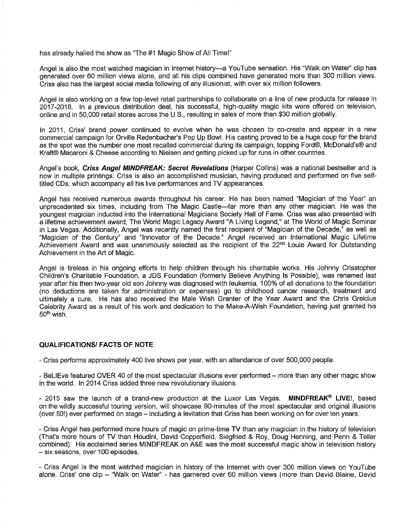has already hailed the show as "The #1 Magic Show of All Time!''

Angel is also the most watched magician in Internet history—a YouTube sensation. His "Walk on Water" clip has generated over 60 million views alone, and all his clips combined have generated more than 300 million views. Criss also has the largest social media following of any illusionist, with over six million followers.

Angel is also working on a few top-level retail partnerships to collaborate on a line of new products for release in 2017-2018. In a previous distribution deal, his successful, high-quality magic kits were offered on television, online and in 50,000 retail stores across the U.S., resulting in sales of more than \$30 million globally.

In 2011, Criss' brand power continued to evolve when he was chosen to co-create and appear in a new commercial campaign for Orville Redenbacher's Pop Up Bowl. His casting proved to be a huge coup for the brand as the spot was the number one most recalled commercial during its campaign, topping Ford®, McDonald's® and Kraft® Macaroni & Cheese according to Nielsen and getting picked up for runs in other countries.

Angel's book, *Criss Angel MINDFREAK: Secret Revelations* (Harper Collins) was a national bestseller and is now in multiple printings. Criss is also an accomplished musician, having produced and performed on five selftitled CDs, which accompany all his live performances and TV appearances.

Angel has received numerous awards throughout his career. He has been named "Magician of the Year" an unprecedented six times, including from The Magic Castle—far more than any other magician. He was the youngest magician inducted into the International Magicians Society Hall of Fame. Criss was also presented with a lifetime achievement award, The World Magic Legacy Award "A Living Legend," at The World of Magic Seminar in Las Vegas. Additionally, Angel was recently named the first recipient of "Magician of the Decade," as well as "Magician of the Century" and "Innovator of the Decade." Angel received an International Magic Lifetime Achievement Award and was unanimously selected as the recipient of the 22<sup>nd</sup> Louie Award for Outstanding Achievement in the Art of Magic.

Angel is tireless in his ongoing efforts to help children through his charitable works. His Johnny Crisstopher Children's Charitable Foundation, a JDS Foundation (formerly Believe Anything Is Possible), was renamed last year after his then two-year old son Johnny was diagnosed with leukemia. 100% of all donations to the foundation (no deductions are taken for administration or expenses) go to childhood cancer research, treatment and ultimately a cure. He has also received the Male Wish Granter of the Year Award and the Chris Greicius Celebrity Award as a result of his work and dedication to the Make-A-Wish Foundation, having just granted his 50th wish.

### **QUALIFICATIONS/ FACTS OF NOTE**

- Criss performs approximately 400 live shows per year, with an attendance of over 500,000 people.

- BeLIEve featured OVER 40 of the most spectacular illusions ever performed - more than any other magic show in the world. In 2014 Criss added three new revolutionary illusions.

- 2015 saw the launch of a brand-new production at the Luxor Las Vegas, **MINDFREAK® LIVE!, based** on the wildly successful touring version, will showcase 90-minutes of the most spectacular and original illusions (over 50!) ever performed on stage – including a levitation that Criss has been working on for over ten years.

- Criss Angel has performed more hours of magic on prime-time TV than any magician in the history of television (That's more hours of TV than Houdini, David Copperfield, Siegfried & Roy, Doug Henning, and Penn & Teller combined). His acclaimed series MINDFREAK on A&E was the most successful magic show in television history - six seasons, over 100 episodes.

- Criss Angel is the most watched magician in history of the Internet with over 300 million views on YouTube alone. Criss' one clip - "Walk on Water" - has garnered over 60 million views (more than David Blaine, David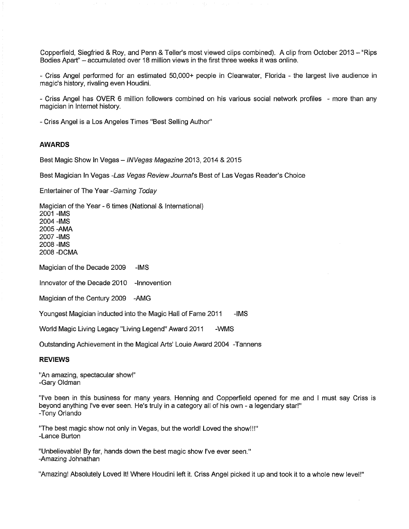Copperfield, Siegfried & Roy, and Penn & Teller's most viewed clips combined). <sup>A</sup> clip from October <sup>2013</sup> -"Rips Bodies Apart" - accumulated over <sup>18</sup> million views in the first three weeks it was online.

- Criss Angel performed for an estimated 50,000+ people in Clearwater, Florida - the largest live audience in magic's history, rivaling even Houdini.

- Criss Angel has OVER 6 million followers combined on his various social network profiles - more than any magician in Internet history.

- Criss Angel is a Los Angeles Times "Best Selling Author'

#### **AWARDS**

Best Magic Show In Vegas -*INVegas Magazine* 2013, <sup>2014</sup> & <sup>2015</sup>

Best Magician In Vegas *-Las Vegas Review Journal's* Best of Las Vegas Reader's Choice

Entertainer of The Year *-Gaming Today*

Magician of the Year - 6 times (National & International)

2001 -IMS 2004 -IMS 2005 -AMA 2007 -IMS 2008 -IMS 2008 -DCMA

Magician of the Decade 2009 -IMS

Innovator of the Decade 2010 -Innovention

Magician of the Century 2009 -AMG

Youngest Magician inducted into the Magic Hall of Fame 2011 - - IMS

World Magic Living Legacy "Living Legend" Award 2011 - WMS

Outstanding Achievement in the Magical Arts' Louie Award 2004 -Tannens

#### **REVIEWS**

"An amazing, spectacular show!" -Gary Oldman

"I've been in this business for many years. Henning and Copperfield opened for me and <sup>I</sup> must say Criss is beyond anything I've ever seen. He's truly in a category all of his own - a legendary star!" -Tony Orlando

"The best magic show not only in Vegas, but the world! Loved the show!!! -Lance Burton

"Unbelievable! By far, hands down the best magic show I've ever seen. -Amazing Johnathan

"Amazing! Absolutely Loved It! Where Houdini left it. Criss Angel picked it up and took it to a whole new level!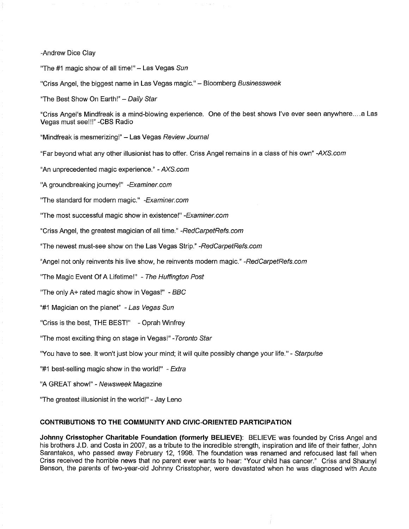-Andrew Dice Clay

'The #1 magic show of all time!" - Las Vegas *Sun*

'Criss Angel, the biggest name in Las Vegas magic." - Bloomberg *Businessweek*

The Best Show On Earth!" - *Daily Star*

"Criss Angel's Mindfreak is a mind-blowing experience. One of the best shows I've ever seen anywhere....a Las Vegas must see!!!" -CBS Radio

Mindfreak is mesmerizing!" - Las Vegas *Review Journal*

Far beyond what any other illusionist has to offer. Criss Angel remains in a class of his own" *-AXS.com*

'An unprecedented magic experience." - *AXS.com*

'A groundbreaking journey!" *-Examiner.com*

'The standard for modern magic." *-Examiner.com*

'The most successful magic show in existence!" *-Examiner.com*

Criss Angel, the greatest magician of all time." *-RedCarpetRefs.com*

"The newest must-see show on the Las Vegas Strip." *-RedCarpetRefs.com*

'Angel not only reinvents his live show, he reinvents modern magic." *-RedCarpetRefs.com*

'The Magic Event Of A Lifetime!" - *The Huffington Post*

'The only A+ rated magic show in Vegas!" - *BBC*

'#1 Magician on the planet" - *Las Vegas Sun*

'Criss is the best, THE BEST! *-* Oprah Winfrey

The most exciting thing on stage in Vegas!" *-Toronto Star*

'You have to see. It won't just blow your mind; it will quite possibly change your life." - *Starpulse*

'#1 best-selling magic show in the world!" - *Extra*

'A GREAT show!" - *Newsweek* Magazine

'The greatest illusionist in the world!" - Jay Leno

## **CONTRIBUTIONS TO THE COMMUNITY AND CIVIC-ORIENTED PARTICIPATION**

**Johnny Crisstopher Charitable Foundation (formerly BELIEVE):** BELIEVE was founded by Criss Angel and his brothers J.D. and Costa in 2007, as a tribute to the incredible strength, inspiration and life of their father, John Sarantakos, who passed away February 12, 1998. The foundation was renamed and refocused last fall when Criss received the horrible news that no parent ever wants to hear: "Your child has cancer." Criss and Shaunyl Benson, the parents of two-year-old Johnny Crisstopher, were devastated when he was diagnosed with Acute